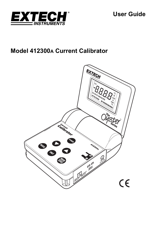

**User Guide** 

# **Model 412300A Current Calibrator**

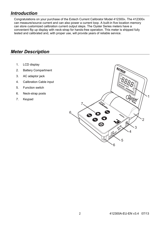## *Introduction*

Congratulations on your purchase of the Extech Current Calibrator Model 412300A. The 412300A can measure/source current and can also power a current loop. A built-in five location memory can store customized calibration current output steps. The Oyster Series meters have a convenient flip up display with neck-strap for hands-free operation. This meter is shipped fully tested and calibrated and, with proper use, will provide years of reliable service.

## *Meter Description*

- 1. LCD display
- 2. Battery Compartment
- 3. AC adaptor jack
- 4. Calibration Cable input
- 5. Function switch
- 6. Neck-strap posts
- 7. Keypad

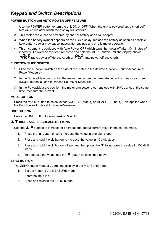## **POWER BUTTON and AUTO POWER OFF FEATURE**

- 1. Use the POWER button to turn the unit ON or OFF. When the unit is powered up, a short selftest will ensue after which the display will stabilize.
- 2. This meter can either be powered by one 9V battery or an AC adapter.
- 3. When the battery symbol appears on the LCD display, replace the battery as soon as possible. Low battery power may cause inaccurate readings and erratic meter operation.
- 4. This instrument is equipped with Auto Power OFF which turns the meter off after 10 minutes of inactivity. To override this feature; press and hold the MODE button until the display shows  $\neg$ **REP** (auto power off de-activated) or  $\mathsf{R}\mathsf{E}\mathsf{P}$  (auto power off activated).

### **FUNCTION SLIDE SWITCH**

- 1. Slide the Function switch on the side of the meter to the desired function (Source/Measure or Power/Measure).
- 2. In the Source/Measure position the meter can be used to generate current or measure current (MODE button is used to choose Source or Measure).
- 3. In the Power/Measure position, the meter can power a current loop with 24Vdc and, at the same time, measure the current.

### **MODE BUTTON**

Press the MODE button to select either SOURCE (output) or MEASURE (input). This applies when the Function switch is set to Source/Measure.

### **UNIT BUTTON**

Press the UNIT button to select **mA** or **%** units.

### ▲▼ **INCREASE / DECREASE BUTTONS**

Use the  $\triangle$   $\blacktriangledown$  buttons to increase or decrease the output current value in the source mode.

- 1. Press the  $\triangle$  button once to increase the value in one digit steps.
- 2. Press and hold the  $\triangle$  button to increase the value in 10 digit steps.
- 3. Press and hold the  $\triangle$  button >2 sec and then press the  $\nabla$  to increase the value in 100 digit steps
- 4. To decrease the value, use the  $\nabla$  button as described above.

### **ZERO BUTTON**

The ZERO button manually zeros the display in the MEASURE mode.

- 1. Set the meter to the MEASURE mode
- 2. Short the input jack
- 3. Press and release the ZERO button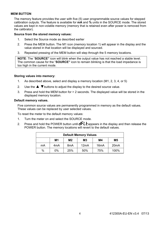#### **MEM BUTTON**

The memory feature provides the user with five (5) user programmable source values for stepped calibration outputs. The feature is available for **mA** and **%** units in the SOURCE mode. The stored values are kept in non-volatile memory (memory that is retained even after power is removed from the calibrator).

#### **Source from the stored memory values:**

- 1. Select the Source mode as described earlier
- 2. Press the MEM button. The M1 icon (memory location 1) will appear in the display and the value stored in that location will be displayed and sourced.
- 3. Repeated pressing of the MEM button will step through the 5 memory locations.

**NOTE**: The "**SOURCE"** icon will blink when the output value has not reached a stable level. The common cause for the "**SOURCE"** icon to remain blinking is that the load impedance is too high in the current mode.

#### **Storing values into memory:**

- 1. As described above, select and display a memory location (M1, 2, 3, 4, or 5)
- 2. Use the  $\triangle \blacktriangledown$  buttons to adjust the display to the desired source value.
- 3. Press and hold the MEM button for > 2 seconds. The displayed value will be stored in the displayed memory location.

#### **Default memory values.**

Five common source values are permanently programmed in memory as the default values. These values can be replaced by user selected values.

To reset the meter to the default memory values:

- 1. Turn the meter on and select the SOURCE mode.
- 2. Press and hold the POWER button until  $dFL$  appears in the display and then release the POWER button. The memory locations will revert to the default values.

| <b>Default Memory Values</b> |                  |                  |                |                   |                |
|------------------------------|------------------|------------------|----------------|-------------------|----------------|
|                              | M1               | M2               | M <sub>3</sub> | M4                | M <sub>5</sub> |
| mA                           | 4 <sub>m</sub> A | 8 <sub>m</sub> A | 12mA           | 16 <sub>m</sub> A | 20mA           |
| %                            | 0%               | 25%              | 50%            | 75%               | 100%           |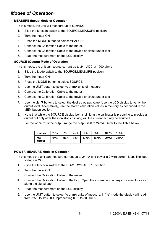## *Modes of Operation*

#### **MEASURE (Input) Mode of Operation**

In this mode, the unit will measure up to 50mADC.

- 1. Slide the function switch to the SOURCE/MEASURE position.
- 2. Turn the meter ON
- 3. Press the MODE button to select MEASURE
- 4. Connect the Calibration Cable to the meter.
- 5. Connect the Calibration Cable to the device or circuit under test.
- 6. Read the measurement on the LCD display.

#### **SOURCE (Output) Mode of Operation**

In this mode, the unit can source current up to 24mADC at 1000 ohms

- 1. Slide the Mode switch to the SOURCE/MEASURE position
- 2. Turn the meter ON
- 3. Press the MODE button to select SOURCE
- 4. Use the UNIT button to select **%** or **mA** units of measure
- 5. Connect the Calibration Cable to the meter
- 6. Connect the Calibration Cable to the device or circuit under test
- 7. Use the ▲ ▼buttons to select the desired output value. Use the LCD display to verify the output level. Alternatively, use the stored calibration values in memory as described in the MEM button section.
- 8. **Note** that while the SOURCE display icon is blinking the calibrator is preparing to provide an output but only after the icon stops blinking will the current actually be sourced.
- 9. For the -25% to 125% output range the output is 0 to 24mA. Refer to the Table below.

| <b>Display</b> | 25%              | 0%  | 25%              | 50%  | 75%  | 100%              | 125%              |
|----------------|------------------|-----|------------------|------|------|-------------------|-------------------|
| mA<br>output   | 0 <sub>m</sub> A | 4mA | 8 <sub>m</sub> A | 12mA | 16mA | 20 <sub>m</sub> A | 24 <sub>m</sub> A |

#### **POWER/MEASURE Mode of Operation**

- In this mode the unit can measure current up to 24mA and power a 2-wire current loop. The loop voltage is 24V.
- 1. Slide the function switch to the POWER/MEASURE position.
- 2. Turn the meter ON
- 3. Connect the Calibration Cable to the meter.
- 4. Connect the Calibration Cable to the loop. Open the current loop at any convenient location along the signal path.
- 5. Read the measurement on the LCD display.
- 6. Use the UNIT button to select % or mA units of measure. In "%" mode the display will read from -25.0 to +230.0% representing 0.00 to 50.00mA.